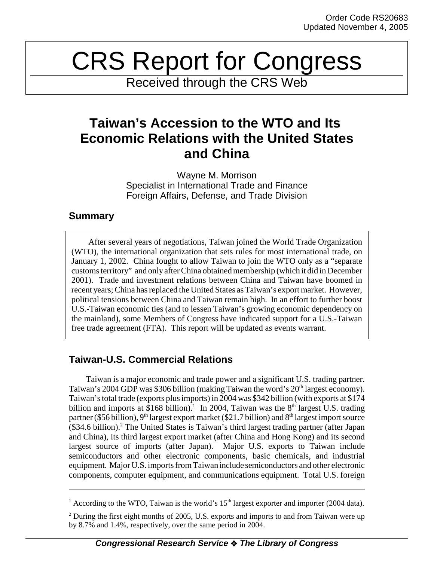# CRS Report for Congress

Received through the CRS Web

## **Taiwan's Accession to the WTO and Its Economic Relations with the United States and China**

Wayne M. Morrison Specialist in International Trade and Finance Foreign Affairs, Defense, and Trade Division

#### **Summary**

After several years of negotiations, Taiwan joined the World Trade Organization (WTO), the international organization that sets rules for most international trade, on January 1, 2002. China fought to allow Taiwan to join the WTO only as a "separate customs territory" and only after China obtained membership (which it did in December 2001). Trade and investment relations between China and Taiwan have boomed in recent years; China has replaced the United States as Taiwan's export market. However, political tensions between China and Taiwan remain high. In an effort to further boost U.S.-Taiwan economic ties (and to lessen Taiwan's growing economic dependency on the mainland), some Members of Congress have indicated support for a U.S.-Taiwan free trade agreement (FTA). This report will be updated as events warrant.

### **Taiwan-U.S. Commercial Relations**

Taiwan is a major economic and trade power and a significant U.S. trading partner. Taiwan's 2004 GDP was \$306 billion (making Taiwan the word's 20<sup>th</sup> largest economy). Taiwan's total trade (exports plus imports) in 2004 was \$342 billion (with exports at \$174 billion and imports at \$168 billion).<sup>1</sup> In 2004, Taiwan was the  $8<sup>th</sup>$  largest U.S. trading partner (\$56 billion), 9<sup>th</sup> largest export market (\$21.7 billion) and 8<sup>th</sup> largest import source (\$34.6 billion).<sup>2</sup> The United States is Taiwan's third largest trading partner (after Japan and China), its third largest export market (after China and Hong Kong) and its second largest source of imports (after Japan). Major U.S. exports to Taiwan include semiconductors and other electronic components, basic chemicals, and industrial equipment. Major U.S. imports from Taiwan include semiconductors and other electronic components, computer equipment, and communications equipment. Total U.S. foreign

<sup>&</sup>lt;sup>1</sup> According to the WTO, Taiwan is the world's  $15<sup>th</sup>$  largest exporter and importer (2004 data).

 $2$  During the first eight months of 2005, U.S. exports and imports to and from Taiwan were up by 8.7% and 1.4%, respectively, over the same period in 2004.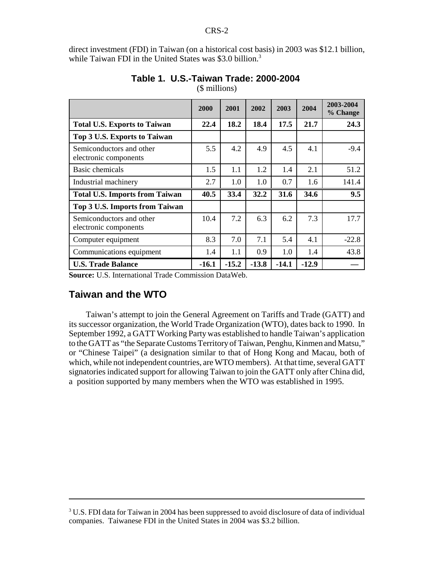direct investment (FDI) in Taiwan (on a historical cost basis) in 2003 was \$12.1 billion, while Taiwan FDI in the United States was \$3.0 billion.<sup>3</sup>

|                                                   | 2000    | 2001    | 2002    | 2003    | 2004    | 2003-2004<br>% Change |
|---------------------------------------------------|---------|---------|---------|---------|---------|-----------------------|
| <b>Total U.S. Exports to Taiwan</b>               | 22.4    | 18.2    | 18.4    | 17.5    | 21.7    | 24.3                  |
| Top 3 U.S. Exports to Taiwan                      |         |         |         |         |         |                       |
| Semiconductors and other<br>electronic components | 5.5     | 4.2     | 4.9     | 4.5     | 4.1     | $-9.4$                |
| Basic chemicals                                   | 1.5     | 1.1     | 1.2     | 1.4     | 2.1     | 51.2                  |
| Industrial machinery                              | 2.7     | 1.0     | 1.0     | 0.7     | 1.6     | 141.4                 |
| <b>Total U.S. Imports from Taiwan</b>             | 40.5    | 33.4    | 32.2    | 31.6    | 34.6    | 9.5                   |
| Top 3 U.S. Imports from Taiwan                    |         |         |         |         |         |                       |
| Semiconductors and other<br>electronic components | 10.4    | 7.2     | 6.3     | 6.2     | 7.3     | 17.7                  |
| Computer equipment                                | 8.3     | 7.0     | 7.1     | 5.4     | 4.1     | $-22.8$               |
| Communications equipment                          | 1.4     | 1.1     | 0.9     | 1.0     | 1.4     | 43.8                  |
| <b>U.S. Trade Balance</b>                         | $-16.1$ | $-15.2$ | $-13.8$ | $-14.1$ | $-12.9$ |                       |

#### **Table 1. U.S.-Taiwan Trade: 2000-2004**

(\$ millions)

**Source:** U.S. International Trade Commission DataWeb.

#### **Taiwan and the WTO**

Taiwan's attempt to join the General Agreement on Tariffs and Trade (GATT) and its successor organization, the World Trade Organization (WTO), dates back to 1990. In September 1992, a GATT Working Party was established to handle Taiwan's application to the GATT as "the Separate Customs Territory of Taiwan, Penghu, Kinmen and Matsu," or "Chinese Taipei" (a designation similar to that of Hong Kong and Macau, both of which, while not independent countries, are WTO members). At that time, several GATT signatories indicated support for allowing Taiwan to join the GATT only after China did, a position supported by many members when the WTO was established in 1995.

 $3$  U.S. FDI data for Taiwan in 2004 has been suppressed to avoid disclosure of data of individual companies. Taiwanese FDI in the United States in 2004 was \$3.2 billion.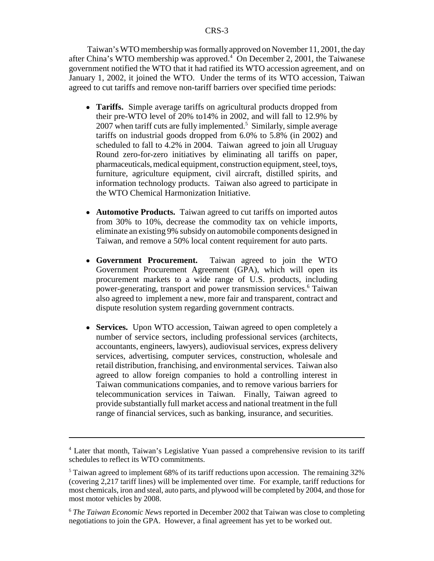Taiwan's WTO membership was formally approved on November 11, 2001, the day after China's WTO membership was approved.<sup>4</sup> On December 2, 2001, the Taiwanese government notified the WTO that it had ratified its WTO accession agreement, and on January 1, 2002, it joined the WTO. Under the terms of its WTO accession, Taiwan agreed to cut tariffs and remove non-tariff barriers over specified time periods:

- **Tariffs.** Simple average tariffs on agricultural products dropped from their pre-WTO level of 20% to14% in 2002, and will fall to 12.9% by 2007 when tariff cuts are fully implemented.<sup>5</sup> Similarly, simple average tariffs on industrial goods dropped from 6.0% to 5.8% (in 2002) and scheduled to fall to 4.2% in 2004. Taiwan agreed to join all Uruguay Round zero-for-zero initiatives by eliminating all tariffs on paper, pharmaceuticals, medical equipment, construction equipment, steel, toys, furniture, agriculture equipment, civil aircraft, distilled spirits, and information technology products. Taiwan also agreed to participate in the WTO Chemical Harmonization Initiative.
- ! **Automotive Products.** Taiwan agreed to cut tariffs on imported autos from 30% to 10%, decrease the commodity tax on vehicle imports, eliminate an existing 9% subsidy on automobile components designed in Taiwan, and remove a 50% local content requirement for auto parts.
- ! **Government Procurement.** Taiwan agreed to join the WTO Government Procurement Agreement (GPA), which will open its procurement markets to a wide range of U.S. products, including power-generating, transport and power transmission services.<sup>6</sup> Taiwan also agreed to implement a new, more fair and transparent, contract and dispute resolution system regarding government contracts.
- ! **Services.** Upon WTO accession, Taiwan agreed to open completely a number of service sectors, including professional services (architects, accountants, engineers, lawyers), audiovisual services, express delivery services, advertising, computer services, construction, wholesale and retail distribution, franchising, and environmental services. Taiwan also agreed to allow foreign companies to hold a controlling interest in Taiwan communications companies, and to remove various barriers for telecommunication services in Taiwan. Finally, Taiwan agreed to provide substantially full market access and national treatment in the full range of financial services, such as banking, insurance, and securities.

<sup>&</sup>lt;sup>4</sup> Later that month, Taiwan's Legislative Yuan passed a comprehensive revision to its tariff schedules to reflect its WTO commitments.

<sup>&</sup>lt;sup>5</sup> Taiwan agreed to implement 68% of its tariff reductions upon accession. The remaining 32% (covering 2,217 tariff lines) will be implemented over time. For example, tariff reductions for most chemicals, iron and steal, auto parts, and plywood will be completed by 2004, and those for most motor vehicles by 2008.

<sup>6</sup> *The Taiwan Economic News* reported in December 2002 that Taiwan was close to completing negotiations to join the GPA. However, a final agreement has yet to be worked out.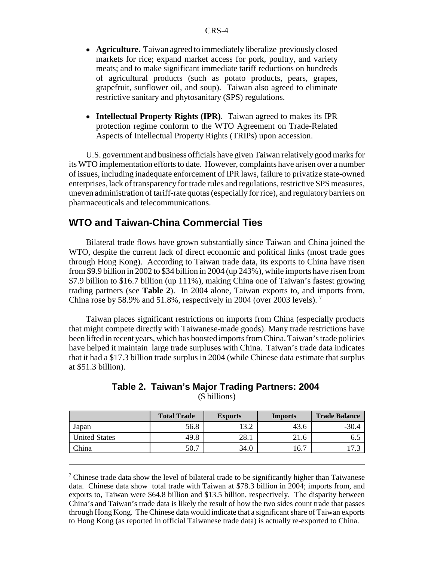- ! **Agriculture.** Taiwan agreed to immediately liberalize previously closed markets for rice; expand market access for pork, poultry, and variety meats; and to make significant immediate tariff reductions on hundreds of agricultural products (such as potato products, pears, grapes, grapefruit, sunflower oil, and soup). Taiwan also agreed to eliminate restrictive sanitary and phytosanitary (SPS) regulations.
- ! **Intellectual Property Rights (IPR)**. Taiwan agreed to makes its IPR protection regime conform to the WTO Agreement on Trade-Related Aspects of Intellectual Property Rights (TRIPs) upon accession.

U.S. government and business officials have given Taiwan relatively good marks for its WTO implementation efforts to date. However, complaints have arisen over a number of issues, including inadequate enforcement of IPR laws, failure to privatize state-owned enterprises, lack of transparency for trade rules and regulations, restrictive SPS measures, uneven administration of tariff-rate quotas (especially for rice), and regulatory barriers on pharmaceuticals and telecommunications.

#### **WTO and Taiwan-China Commercial Ties**

Bilateral trade flows have grown substantially since Taiwan and China joined the WTO, despite the current lack of direct economic and political links (most trade goes through Hong Kong). According to Taiwan trade data, its exports to China have risen from \$9.9 billion in 2002 to \$34 billion in 2004 (up 243%), while imports have risen from \$7.9 billion to \$16.7 billion (up 111%), making China one of Taiwan's fastest growing trading partners (see **Table 2**). In 2004 alone, Taiwan exports to, and imports from, China rose by 58.9% and 51.8%, respectively in 2004 (over 2003 levels). 7

Taiwan places significant restrictions on imports from China (especially products that might compete directly with Taiwanese-made goods). Many trade restrictions have been lifted in recent years, which has boosted imports from China. Taiwan's trade policies have helped it maintain large trade surpluses with China. Taiwan's trade data indicates that it had a \$17.3 billion trade surplus in 2004 (while Chinese data estimate that surplus at \$51.3 billion).

|               | <b>Total Trade</b> | <b>Exports</b> | <b>Imports</b> | <b>Trade Balance</b> |
|---------------|--------------------|----------------|----------------|----------------------|
| Japan         | 56.8               | 12 7<br>ے . ب  | 43.6           | $-30.4$              |
| United States | 49.8               | 28.1           | 21.6           | 0.J                  |
| <b>China</b>  | 50.7               | 34.0           | 16.7           | ر ، ر                |

#### **Table 2. Taiwan's Major Trading Partners: 2004**  (\$ billions)

<sup>7</sup> Chinese trade data show the level of bilateral trade to be significantly higher than Taiwanese data. Chinese data show total trade with Taiwan at \$78.3 billion in 2004; imports from, and exports to, Taiwan were \$64.8 billion and \$13.5 billion, respectively. The disparity between China's and Taiwan's trade data is likely the result of how the two sides count trade that passes through Hong Kong. The Chinese data would indicate that a significant share of Taiwan exports to Hong Kong (as reported in official Taiwanese trade data) is actually re-exported to China.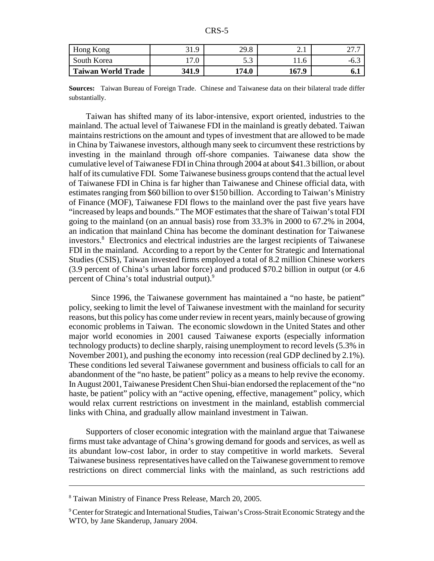| r<br>v<br>U |
|-------------|
|-------------|

| Hong Kong                 | 31.9  | 29.8                 | 2. l  |        |
|---------------------------|-------|----------------------|-------|--------|
| South Korea               | .∪    | $\sim$ $\sim$<br>ں ر | 11.6  | $-0.5$ |
| <b>Taiwan World Trade</b> | 341.9 | 174.0                | 167.9 | 0. L   |

**Sources:** Taiwan Bureau of Foreign Trade. Chinese and Taiwanese data on their bilateral trade differ substantially.

Taiwan has shifted many of its labor-intensive, export oriented, industries to the mainland. The actual level of Taiwanese FDI in the mainland is greatly debated. Taiwan maintains restrictions on the amount and types of investment that are allowed to be made in China by Taiwanese investors, although many seek to circumvent these restrictions by investing in the mainland through off-shore companies. Taiwanese data show the cumulative level of Taiwanese FDI in China through 2004 at about \$41.3 billion, or about half of its cumulative FDI. Some Taiwanese business groups contend that the actual level of Taiwanese FDI in China is far higher than Taiwanese and Chinese official data, with estimates ranging from \$60 billion to over \$150 billion. According to Taiwan's Ministry of Finance (MOF), Taiwanese FDI flows to the mainland over the past five years have "increased by leaps and bounds." The MOF estimates that the share of Taiwan's total FDI going to the mainland (on an annual basis) rose from 33.3% in 2000 to 67.2% in 2004, an indication that mainland China has become the dominant destination for Taiwanese investors.<sup>8</sup> Electronics and electrical industries are the largest recipients of Taiwanese FDI in the mainland. According to a report by the Center for Strategic and International Studies (CSIS), Taiwan invested firms employed a total of 8.2 million Chinese workers (3.9 percent of China's urban labor force) and produced \$70.2 billion in output (or 4.6 percent of China's total industrial output).<sup>9</sup>

 Since 1996, the Taiwanese government has maintained a "no haste, be patient" policy, seeking to limit the level of Taiwanese investment with the mainland for security reasons, but this policy has come under review in recent years, mainly because of growing economic problems in Taiwan. The economic slowdown in the United States and other major world economies in 2001 caused Taiwanese exports (especially information technology products) to decline sharply, raising unemployment to record levels (5.3% in November 2001), and pushing the economy into recession (real GDP declined by 2.1%). These conditions led several Taiwanese government and business officials to call for an abandonment of the "no haste, be patient" policy as a means to help revive the economy. In August 2001, Taiwanese President Chen Shui-bian endorsed the replacement of the "no haste, be patient" policy with an "active opening, effective, management" policy, which would relax current restrictions on investment in the mainland, establish commercial links with China, and gradually allow mainland investment in Taiwan.

Supporters of closer economic integration with the mainland argue that Taiwanese firms must take advantage of China's growing demand for goods and services, as well as its abundant low-cost labor, in order to stay competitive in world markets. Several Taiwanese business representatives have called on the Taiwanese government to remove restrictions on direct commercial links with the mainland, as such restrictions add

<sup>&</sup>lt;sup>8</sup> Taiwan Ministry of Finance Press Release, March 20, 2005.

<sup>&</sup>lt;sup>9</sup> Center for Strategic and International Studies, Taiwan's Cross-Strait Economic Strategy and the WTO, by Jane Skanderup, January 2004.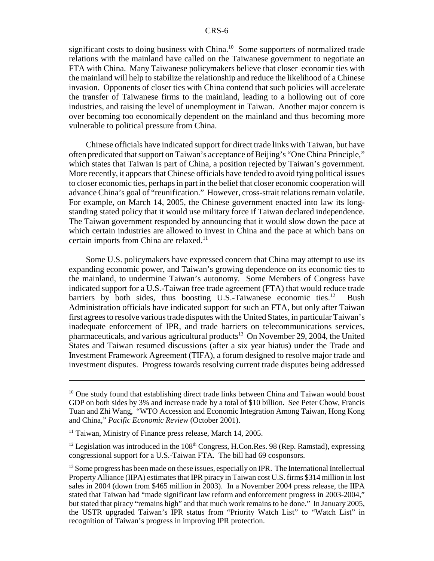significant costs to doing business with China.<sup>10</sup> Some supporters of normalized trade relations with the mainland have called on the Taiwanese government to negotiate an FTA with China. Many Taiwanese policymakers believe that closer economic ties with the mainland will help to stabilize the relationship and reduce the likelihood of a Chinese invasion. Opponents of closer ties with China contend that such policies will accelerate the transfer of Taiwanese firms to the mainland, leading to a hollowing out of core industries, and raising the level of unemployment in Taiwan. Another major concern is over becoming too economically dependent on the mainland and thus becoming more vulnerable to political pressure from China.

Chinese officials have indicated support for direct trade links with Taiwan, but have often predicated that support on Taiwan's acceptance of Beijing's "One China Principle," which states that Taiwan is part of China, a position rejected by Taiwan's government. More recently, it appears that Chinese officials have tended to avoid tying political issues to closer economic ties, perhaps in part in the belief that closer economic cooperation will advance China's goal of "reunification." However, cross-strait relations remain volatile. For example, on March 14, 2005, the Chinese government enacted into law its longstanding stated policy that it would use military force if Taiwan declared independence. The Taiwan government responded by announcing that it would slow down the pace at which certain industries are allowed to invest in China and the pace at which bans on certain imports from China are relaxed.<sup>11</sup>

Some U.S. policymakers have expressed concern that China may attempt to use its expanding economic power, and Taiwan's growing dependence on its economic ties to the mainland, to undermine Taiwan's autonomy. Some Members of Congress have indicated support for a U.S.-Taiwan free trade agreement (FTA) that would reduce trade barriers by both sides, thus boosting U.S.-Taiwanese economic ties.<sup>12</sup> Bush Administration officials have indicated support for such an FTA, but only after Taiwan first agrees to resolve various trade disputes with the United States, in particular Taiwan's inadequate enforcement of IPR, and trade barriers on telecommunications services, pharmaceuticals, and various agricultural products13 On November 29, 2004, the United States and Taiwan resumed discussions (after a six year hiatus) under the Trade and Investment Framework Agreement (TIFA), a forum designed to resolve major trade and investment disputes. Progress towards resolving current trade disputes being addressed

<sup>&</sup>lt;sup>10</sup> One study found that establishing direct trade links between China and Taiwan would boost GDP on both sides by 3% and increase trade by a total of \$10 billion. See Peter Chow, Francis Tuan and Zhi Wang, "WTO Accession and Economic Integration Among Taiwan, Hong Kong and China," *Pacific Economic Review* (October 2001).

<sup>&</sup>lt;sup>11</sup> Taiwan, Ministry of Finance press release, March 14, 2005.

<sup>&</sup>lt;sup>12</sup> Legislation was introduced in the  $108<sup>th</sup>$  Congress, H.Con.Res. 98 (Rep. Ramstad), expressing congressional support for a U.S.-Taiwan FTA. The bill had 69 cosponsors.

<sup>&</sup>lt;sup>13</sup> Some progress has been made on these issues, especially on IPR. The International Intellectual Property Alliance (IIPA) estimates that IPR piracy in Taiwan cost U.S. firms \$314 million in lost sales in 2004 (down from \$465 million in 2003). In a November 2004 press release, the IIPA stated that Taiwan had "made significant law reform and enforcement progress in 2003-2004," but stated that piracy "remains high" and that much work remains to be done." In January 2005, the USTR upgraded Taiwan's IPR status from "Priority Watch List" to "Watch List" in recognition of Taiwan's progress in improving IPR protection.